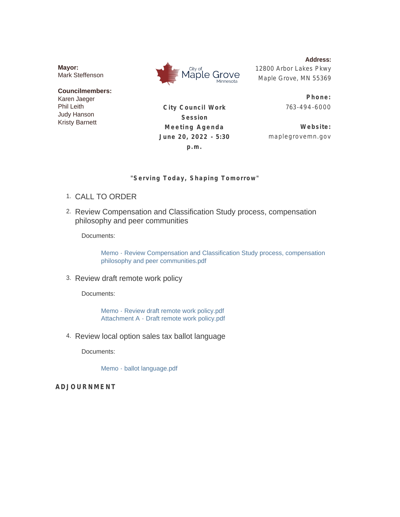**Mayor:** Mark Steffenson

**Councilmembers:** Karen Jaeger Phil Leith Judy Hanson Kristy Barnett



**Address:** 12800 Arbor Lakes Pkwy Maple Grove, MN 55369

**City Council Work Session Meeting Agenda June 20, 2022 - 5:30 p.m.**

**Phone:** 763-494 -6000

**Website:** maplegrovemn.gov

#### **"Serving Today, Shaping Tomorrow"**

- CALL TO ORDER 1.
- 2. Review Compensation and Classification Study process, compensation philosophy and peer communities

Documents:

Memo - Review Compensation and Classification Study process, compensation philosophy and peer communities.pdf

3. Review draft remote work policy

Documents:

Memo - Review draft remote work policy.pdf Attachment A - Draft remote work policy.pdf

4. Review local option sales tax ballot language

Documents:

Memo - ballot language.pdf

**ADJOURNMENT**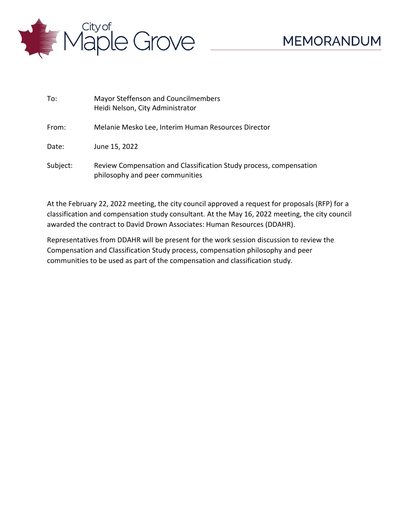

| To:      | Mayor Steffenson and Councilmembers<br>Heidi Nelson, City Administrator                               |
|----------|-------------------------------------------------------------------------------------------------------|
| From:    | Melanie Mesko Lee, Interim Human Resources Director                                                   |
| Date:    | June 15, 2022                                                                                         |
| Subject: | Review Compensation and Classification Study process, compensation<br>philosophy and peer communities |

At the February 22, 2022 meeting, the city council approved a request for proposals (RFP) for a classification and compensation study consultant. At the May 16, 2022 meeting, the city council awarded the contract to David Drown Associates: Human Resources (DDAHR).

Representatives from DDAHR will be present for the work session discussion to review the Compensation and Classification Study process, compensation philosophy and peer communities to be used as part of the compensation and classification study.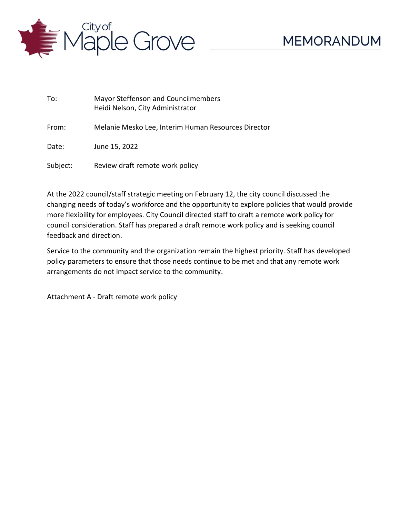

| To:      | Mayor Steffenson and Councilmembers<br>Heidi Nelson, City Administrator |
|----------|-------------------------------------------------------------------------|
| From:    | Melanie Mesko Lee, Interim Human Resources Director                     |
| Date:    | June 15, 2022                                                           |
| Subject: | Review draft remote work policy                                         |

At the 2022 council/staff strategic meeting on February 12, the city council discussed the changing needs of today's workforce and the opportunity to explore policies that would provide more flexibility for employees. City Council directed staff to draft a remote work policy for council consideration. Staff has prepared a draft remote work policy and is seeking council feedback and direction.

Service to the community and the organization remain the highest priority. Staff has developed policy parameters to ensure that those needs continue to be met and that any remote work arrangements do not impact service to the community.

Attachment A - Draft remote work policy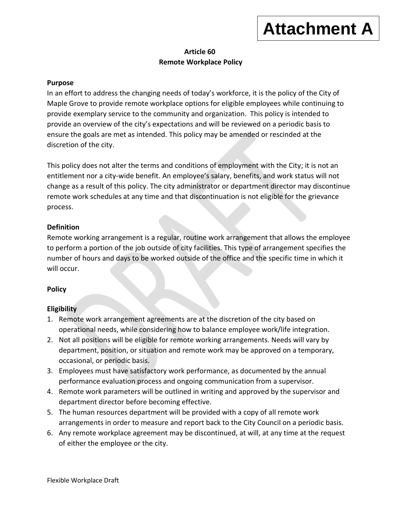# **Attachment A**

# **Article 60 Remote Workplace Policy**

## **Purpose**

In an effort to address the changing needs of today's workforce, it is the policy of the City of Maple Grove to provide remote workplace options for eligible employees while continuing to provide exemplary service to the community and organization. This policy is intended to provide an overview of the city's expectations and will be reviewed on a periodic basis to ensure the goals are met as intended. This policy may be amended or rescinded at the discretion of the city.

This policy does not alter the terms and conditions of employment with the City; it is not an entitlement nor a city-wide benefit. An employee's salary, benefits, and work status will not change as a result of this policy. The city administrator or department director may discontinue remote work schedules at any time and that discontinuation is not eligible for the grievance process.

# **Definition**

Remote working arrangement is a regular, routine work arrangement that allows the employee to perform a portion of the job outside of city facilities. This type of arrangement specifies the number of hours and days to be worked outside of the office and the specific time in which it will occur.

# **Policy**

### **Eligibility**

- 1. Remote work arrangement agreements are at the discretion of the city based on operational needs, while considering how to balance employee work/life integration.
- 2. Not all positions will be eligible for remote working arrangements. Needs will vary by department, position, or situation and remote work may be approved on a temporary, occasional, or periodic basis.
- 3. Employees must have satisfactory work performance, as documented by the annual performance evaluation process and ongoing communication from a supervisor.
- 4. Remote work parameters will be outlined in writing and approved by the supervisor and department director before becoming effective.
- 5. The human resources department will be provided with a copy of all remote work arrangements in order to measure and report back to the City Council on a periodic basis.
- 6. Any remote workplace agreement may be discontinued, at will, at any time at the request of either the employee or the city.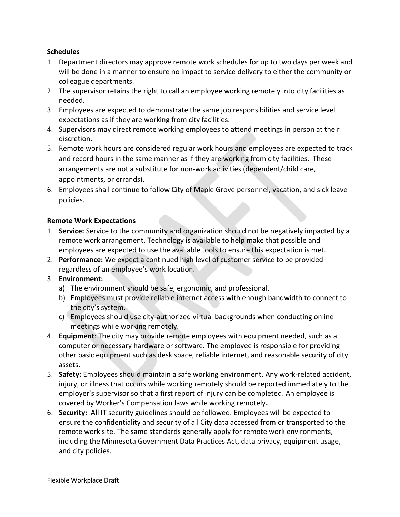# **Schedules**

- 1. Department directors may approve remote work schedules for up to two days per week and will be done in a manner to ensure no impact to service delivery to either the community or colleague departments.
- 2. The supervisor retains the right to call an employee working remotely into city facilities as needed.
- 3. Employees are expected to demonstrate the same job responsibilities and service level expectations as if they are working from city facilities.
- 4. Supervisors may direct remote working employees to attend meetings in person at their discretion.
- 5. Remote work hours are considered regular work hours and employees are expected to track and record hours in the same manner as if they are working from city facilities. These arrangements are not a substitute for non-work activities (dependent/child care, appointments, or errands).
- 6. Employees shall continue to follow City of Maple Grove personnel, vacation, and sick leave policies.

# **Remote Work Expectations**

- 1. **Service:** Service to the community and organization should not be negatively impacted by a remote work arrangement. Technology is available to help make that possible and employees are expected to use the available tools to ensure this expectation is met.
- 2. **Performance:** We expect a continued high level of customer service to be provided regardless of an employee's work location.
- 3. **Environment:** 
	- a) The environment should be safe, ergonomic, and professional.
	- b) Employees must provide reliable internet access with enough bandwidth to connect to the city's system.
	- c) Employees should use city-authorized virtual backgrounds when conducting online meetings while working remotely.
- 4. **Equipment**: The city may provide remote employees with equipment needed, such as a computer or necessary hardware or software. The employee is responsible for providing other basic equipment such as desk space, reliable internet, and reasonable security of city assets.
- 5. **Safety:** Employees should maintain a safe working environment. Any work-related accident, injury, or illness that occurs while working remotely should be reported immediately to the employer's supervisor so that a first report of injury can be completed. An employee is covered by Worker's Compensation laws while working remotely**.**
- 6. **Security:** All IT security guidelines should be followed. Employees will be expected to ensure the confidentiality and security of all City data accessed from or transported to the remote work site. The same standards generally apply for remote work environments, including the Minnesota Government Data Practices Act, data privacy, equipment usage, and city policies.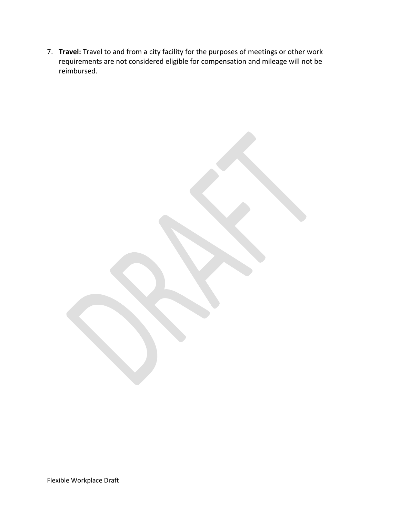7. **Travel:** Travel to and from a city facility for the purposes of meetings or other work requirements are not considered eligible for compensation and mileage will not be reimbursed.

Flexible Workplace Draft